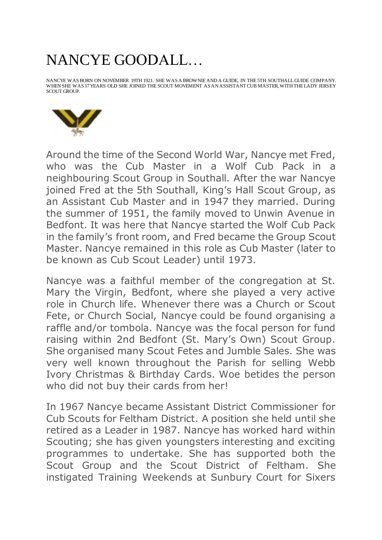## NANCYE GOODALL…

NANCYE WAS BORN ON NOVEMBER 19TH 1921. SHE WAS A BROWNIE AND A GUIDE, IN THE 5TH SOUTHALL GUIDE COMPANY. WHEN SHE WAS 17 YEARS OLD SHE JOINED THE SCOUT MOVEMENT AS AN ASSISTANT CUB MASTER, WITH THE LADY JERSEY SCOUT GROUP.



Around the time of the Second World War, Nancye met Fred, who was the Cub Master in a Wolf Cub Pack in a neighbouring Scout Group in Southall. After the war Nancye joined Fred at the 5th Southall, King's Hall Scout Group, as an Assistant Cub Master and in 1947 they married. During the summer of 1951, the family moved to Unwin Avenue in Bedfont. It was here that Nancye started the Wolf Cub Pack in the family's front room, and Fred became the Group Scout Master. Nancye remained in this role as Cub Master (later to be known as Cub Scout Leader) until 1973.

Nancye was a faithful member of the congregation at St. Mary the Virgin, Bedfont, where she played a very active role in Church life. Whenever there was a Church or Scout Fete, or Church Social, Nancye could be found organising a raffle and/or tombola. Nancye was the focal person for fund raising within 2nd Bedfont (St. Mary's Own) Scout Group. She organised many Scout Fetes and Jumble Sales. She was very well known throughout the Parish for selling Webb Ivory Christmas & Birthday Cards. Woe betides the person who did not buy their cards from her!

In 1967 Nancye became Assistant District Commissioner for Cub Scouts for Feltham District. A position she held until she retired as a Leader in 1987. Nancye has worked hard within Scouting; she has given youngsters interesting and exciting programmes to undertake. She has supported both the Scout Group and the Scout District of Feltham. She instigated Training Weekends at Sunbury Court for Sixers